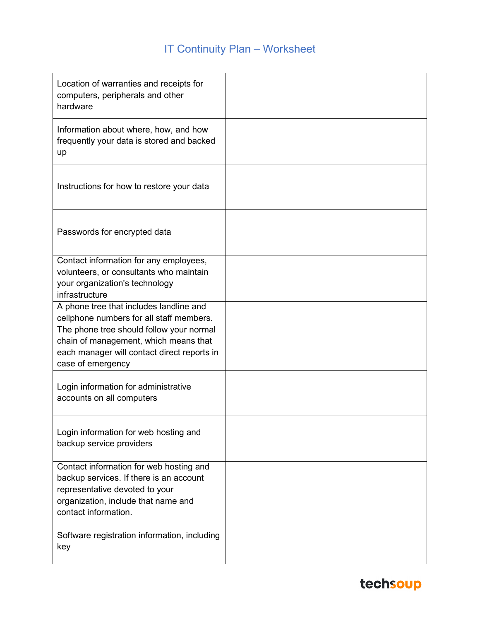#### IT Continuity Plan – Worksheet

| Location of warranties and receipts for<br>computers, peripherals and other<br>hardware                                                                                                                                                      |  |
|----------------------------------------------------------------------------------------------------------------------------------------------------------------------------------------------------------------------------------------------|--|
| Information about where, how, and how<br>frequently your data is stored and backed<br>up                                                                                                                                                     |  |
| Instructions for how to restore your data                                                                                                                                                                                                    |  |
| Passwords for encrypted data                                                                                                                                                                                                                 |  |
| Contact information for any employees,<br>volunteers, or consultants who maintain<br>your organization's technology<br>infrastructure                                                                                                        |  |
| A phone tree that includes landline and<br>cellphone numbers for all staff members.<br>The phone tree should follow your normal<br>chain of management, which means that<br>each manager will contact direct reports in<br>case of emergency |  |
| Login information for administrative<br>accounts on all computers                                                                                                                                                                            |  |
| Login information for web hosting and<br>backup service providers                                                                                                                                                                            |  |
| Contact information for web hosting and<br>backup services. If there is an account<br>representative devoted to your<br>organization, include that name and<br>contact information.                                                          |  |
| Software registration information, including<br>key                                                                                                                                                                                          |  |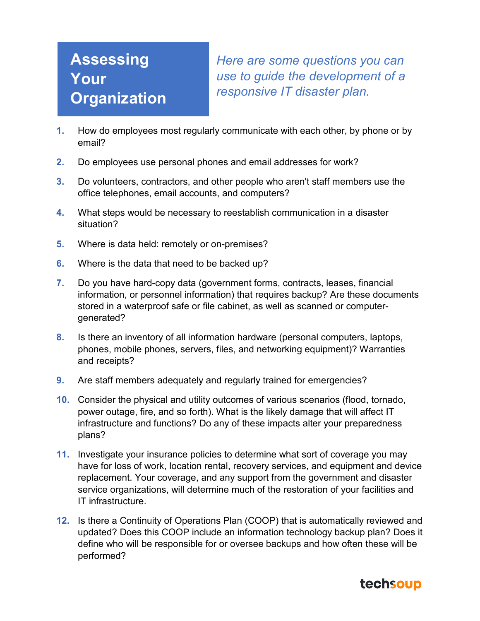### **Assessing Your Organization**

*Here are some questions you can use to guide the development of a responsive IT disaster plan.*

- **1.** How do employees most regularly communicate with each other, by phone or by email?
- **2.** Do employees use personal phones and email addresses for work?
- **3.** Do volunteers, contractors, and other people who aren't staff members use the office telephones, email accounts, and computers?
- **4.** What steps would be necessary to reestablish communication in a disaster situation?
- **5.** Where is data held: remotely or on-premises?
- **6.** Where is the data that need to be backed up?
- **7.** Do you have hard-copy data (government forms, contracts, leases, financial information, or personnel information) that requires backup? Are these documents stored in a waterproof safe or file cabinet, as well as scanned or computergenerated?
- **8.** Is there an inventory of all information hardware (personal computers, laptops, phones, mobile phones, servers, files, and networking equipment)? Warranties and receipts?
- **9.** Are staff members adequately and regularly trained for emergencies?
- **10.** Consider the physical and utility outcomes of various scenarios (flood, tornado, power outage, fire, and so forth). What is the likely damage that will affect IT infrastructure and functions? Do any of these impacts alter your preparedness plans?
- **11.** Investigate your insurance policies to determine what sort of coverage you may have for loss of work, location rental, recovery services, and equipment and device replacement. Your coverage, and any support from the government and disaster service organizations, will determine much of the restoration of your facilities and IT infrastructure.
- **12.** Is there a Continuity of Operations Plan (COOP) that is automatically reviewed and updated? Does this COOP include an information technology backup plan? Does it define who will be responsible for or oversee backups and how often these will be performed?

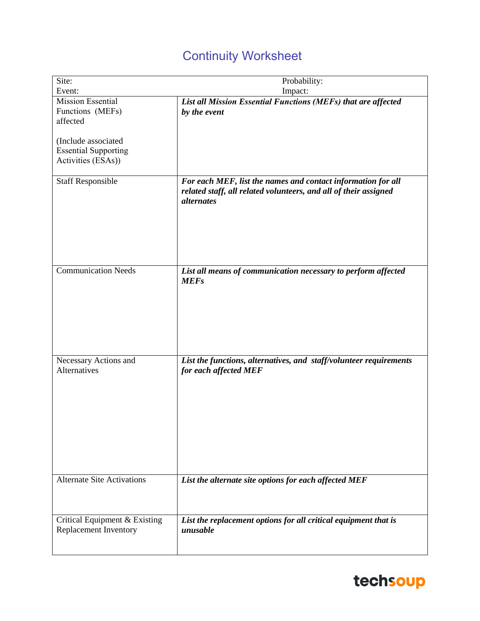### Continuity Worksheet

| Site:                                                  | Probability:                                                                                                                                          |
|--------------------------------------------------------|-------------------------------------------------------------------------------------------------------------------------------------------------------|
| Event:                                                 | Impact:                                                                                                                                               |
| <b>Mission Essential</b>                               | List all Mission Essential Functions (MEFs) that are affected                                                                                         |
| Functions (MEFs)                                       | by the event                                                                                                                                          |
| affected                                               |                                                                                                                                                       |
|                                                        |                                                                                                                                                       |
| (Include associated                                    |                                                                                                                                                       |
| <b>Essential Supporting</b>                            |                                                                                                                                                       |
| Activities (ESAs))                                     |                                                                                                                                                       |
|                                                        |                                                                                                                                                       |
| <b>Staff Responsible</b>                               | For each MEF, list the names and contact information for all<br>related staff, all related volunteers, and all of their assigned<br><i>alternates</i> |
| <b>Communication Needs</b>                             | List all means of communication necessary to perform affected<br><b>MEFs</b>                                                                          |
| Necessary Actions and                                  | List the functions, alternatives, and staff/volunteer requirements                                                                                    |
| Alternatives                                           | for each affected MEF                                                                                                                                 |
| <b>Alternate Site Activations</b>                      | List the alternate site options for each affected MEF                                                                                                 |
| Critical Equipment & Existing<br>Replacement Inventory | List the replacement options for all critical equipment that is<br>unusable                                                                           |

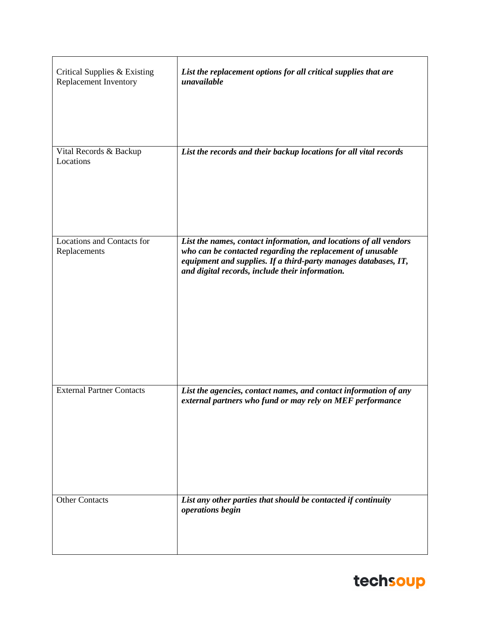| Critical Supplies & Existing<br>Replacement Inventory | List the replacement options for all critical supplies that are<br>unavailable                                                                                                                                                                        |
|-------------------------------------------------------|-------------------------------------------------------------------------------------------------------------------------------------------------------------------------------------------------------------------------------------------------------|
| Vital Records & Backup<br>Locations                   | List the records and their backup locations for all vital records                                                                                                                                                                                     |
| <b>Locations and Contacts for</b><br>Replacements     | List the names, contact information, and locations of all vendors<br>who can be contacted regarding the replacement of unusable<br>equipment and supplies. If a third-party manages databases, IT,<br>and digital records, include their information. |
| <b>External Partner Contacts</b>                      | List the agencies, contact names, and contact information of any<br>external partners who fund or may rely on MEF performance                                                                                                                         |
| <b>Other Contacts</b>                                 | List any other parties that should be contacted if continuity<br>operations begin                                                                                                                                                                     |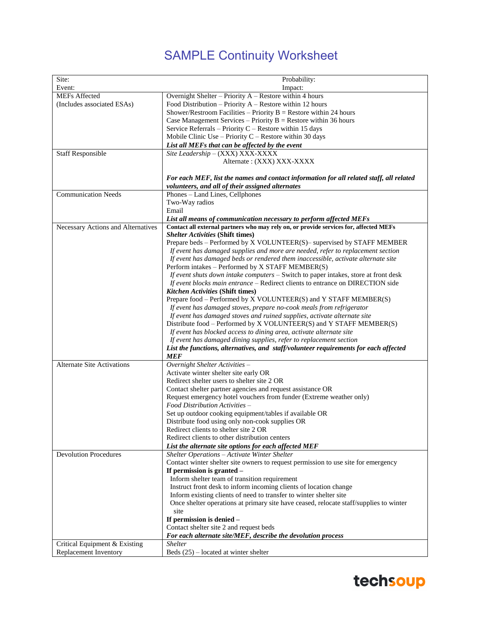### SAMPLE Continuity Worksheet

| Site:                              | Probability:                                                                                                                              |
|------------------------------------|-------------------------------------------------------------------------------------------------------------------------------------------|
| Event:                             | Impact:                                                                                                                                   |
| <b>MEFs Affected</b>               | Overnight Shelter - Priority A - Restore within 4 hours                                                                                   |
| (Includes associated ESAs)         | Food Distribution - Priority A - Restore within 12 hours                                                                                  |
|                                    | Shower/Restroom Facilities – Priority $B$ = Restore within 24 hours                                                                       |
|                                    | Case Management Services – Priority $B =$ Restore within 36 hours                                                                         |
|                                    | Service Referrals - Priority C - Restore within 15 days                                                                                   |
|                                    | Mobile Clinic Use - Priority $C$ - Restore within 30 days                                                                                 |
|                                    | List all MEFs that can be affected by the event                                                                                           |
| <b>Staff Responsible</b>           | Site Leadership - (XXX) XXX-XXXX                                                                                                          |
|                                    | Alternate: (XXX) XXX-XXXX                                                                                                                 |
|                                    | For each MEF, list the names and contact information for all related staff, all related                                                   |
|                                    | volunteers, and all of their assigned alternates                                                                                          |
| <b>Communication Needs</b>         | Phones - Land Lines, Cellphones                                                                                                           |
|                                    | Two-Way radios                                                                                                                            |
|                                    | Email                                                                                                                                     |
|                                    | List all means of communication necessary to perform affected MEFs                                                                        |
| Necessary Actions and Alternatives | Contact all external partners who may rely on, or provide services for, affected MEFs                                                     |
|                                    | <b>Shelter Activities (Shift times)</b>                                                                                                   |
|                                    | Prepare beds - Performed by X VOLUNTEER(S)- supervised by STAFF MEMBER                                                                    |
|                                    | If event has damaged supplies and more are needed, refer to replacement section                                                           |
|                                    | If event has damaged beds or rendered them inaccessible, activate alternate site                                                          |
|                                    | Perform intakes - Performed by X STAFF MEMBER(S)<br>If event shuts down intake computers $-$ Switch to paper intakes, store at front desk |
|                                    | If event blocks main entrance – Redirect clients to entrance on DIRECTION side                                                            |
|                                    | <b>Kitchen Activities (Shift times)</b>                                                                                                   |
|                                    | Prepare food - Performed by X VOLUNTEER(S) and Y STAFF MEMBER(S)                                                                          |
|                                    | If event has damaged stoves, prepare no-cook meals from refrigerator                                                                      |
|                                    | If event has damaged stoves and ruined supplies, activate alternate site                                                                  |
|                                    | Distribute food - Performed by X VOLUNTEER(S) and Y STAFF MEMBER(S)                                                                       |
|                                    | If event has blocked access to dining area, activate alternate site                                                                       |
|                                    | If event has damaged dining supplies, refer to replacement section                                                                        |
|                                    | List the functions, alternatives, and staff/volunteer requirements for each affected                                                      |
|                                    | <b>MEF</b>                                                                                                                                |
| <b>Alternate Site Activations</b>  | Overnight Shelter Activities -                                                                                                            |
|                                    | Activate winter shelter site early OR                                                                                                     |
|                                    | Redirect shelter users to shelter site 2 OR                                                                                               |
|                                    | Contact shelter partner agencies and request assistance OR                                                                                |
|                                    | Request emergency hotel vouchers from funder (Extreme weather only)                                                                       |
|                                    | Food Distribution Activities -                                                                                                            |
|                                    | Set up outdoor cooking equipment/tables if available OR                                                                                   |
|                                    | Distribute food using only non-cook supplies OR                                                                                           |
|                                    | Redirect clients to shelter site 2 OR                                                                                                     |
|                                    | Redirect clients to other distribution centers                                                                                            |
|                                    | List the alternate site options for each affected MEF                                                                                     |
| <b>Devolution Procedures</b>       | Shelter Operations - Activate Winter Shelter                                                                                              |
|                                    | Contact winter shelter site owners to request permission to use site for emergency                                                        |
|                                    | If permission is granted -                                                                                                                |
|                                    | Inform shelter team of transition requirement<br>Instruct front desk to inform incoming clients of location change                        |
|                                    | Inform existing clients of need to transfer to winter shelter site                                                                        |
|                                    | Once shelter operations at primary site have ceased, relocate staff/supplies to winter                                                    |
|                                    | site                                                                                                                                      |
|                                    | If permission is denied -                                                                                                                 |
|                                    | Contact shelter site 2 and request beds                                                                                                   |
|                                    | For each alternate site/MEF, describe the devolution process                                                                              |
| Critical Equipment & Existing      | <i>Shelter</i>                                                                                                                            |
| Replacement Inventory              | Beds $(25)$ – located at winter shelter                                                                                                   |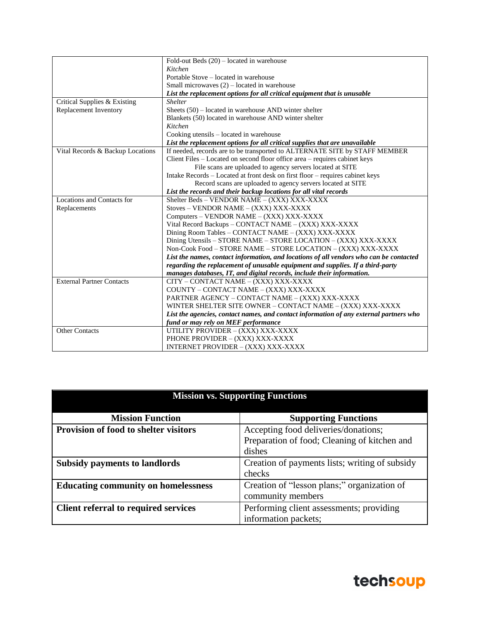|                                  | Fold-out Beds $(20)$ – located in warehouse                                            |
|----------------------------------|----------------------------------------------------------------------------------------|
|                                  | Kitchen                                                                                |
|                                  | Portable Stove – located in warehouse                                                  |
|                                  | Small microwaves $(2)$ – located in warehouse                                          |
|                                  | List the replacement options for all critical equipment that is unusable               |
| Critical Supplies & Existing     | <b>Shelter</b>                                                                         |
| Replacement Inventory            | Sheets $(50)$ – located in warehouse AND winter shelter                                |
|                                  | Blankets (50) located in warehouse AND winter shelter                                  |
|                                  | Kitchen                                                                                |
|                                  | Cooking utensils - located in warehouse                                                |
|                                  | List the replacement options for all critical supplies that are unavailable            |
| Vital Records & Backup Locations | If needed, records are to be transported to ALTERNATE SITE by STAFF MEMBER             |
|                                  | Client Files – Located on second floor office area – requires cabinet keys             |
|                                  | File scans are uploaded to agency servers located at SITE                              |
|                                  | Intake Records – Located at front desk on first floor – requires cabinet keys          |
|                                  | Record scans are uploaded to agency servers located at SITE                            |
|                                  | List the records and their backup locations for all vital records                      |
| Locations and Contacts for       | Shelter Beds - VENDOR NAME - (XXX) XXX-XXXX                                            |
| Replacements                     | Stoves - VENDOR NAME - (XXX) XXX-XXXX                                                  |
|                                  | Computers - VENDOR NAME - (XXX) XXX-XXXX                                               |
|                                  | Vital Record Backups - CONTACT NAME - (XXX) XXX-XXXX                                   |
|                                  | Dining Room Tables - CONTACT NAME - (XXX) XXX-XXXX                                     |
|                                  | Dining Utensils - STORE NAME - STORE LOCATION - (XXX) XXX-XXXX                         |
|                                  | Non-Cook Food - STORE NAME - STORE LOCATION - (XXX) XXX-XXXX                           |
|                                  | List the names, contact information, and locations of all vendors who can be contacted |
|                                  | regarding the replacement of unusable equipment and supplies. If a third-party         |
|                                  | manages databases, IT, and digital records, include their information.                 |
| <b>External Partner Contacts</b> | CITY - CONTACT NAME - (XXX) XXX-XXXX                                                   |
|                                  | COUNTY - CONTACT NAME - (XXX) XXX-XXXX                                                 |
|                                  | PARTNER AGENCY - CONTACT NAME - (XXX) XXX-XXXX                                         |
|                                  | WINTER SHELTER SITE OWNER - CONTACT NAME - (XXX) XXX-XXXX                              |
|                                  | List the agencies, contact names, and contact information of any external partners who |
|                                  | fund or may rely on MEF performance                                                    |
| <b>Other Contacts</b>            | UTILITY PROVIDER - (XXX) XXX-XXXX                                                      |
|                                  | PHONE PROVIDER - (XXX) XXX-XXXX                                                        |
|                                  | INTERNET PROVIDER - (XXX) XXX-XXXX                                                     |

| <b>Mission vs. Supporting Functions</b>      |                                                |  |  |
|----------------------------------------------|------------------------------------------------|--|--|
| <b>Mission Function</b>                      | <b>Supporting Functions</b>                    |  |  |
| <b>Provision of food to shelter visitors</b> | Accepting food deliveries/donations;           |  |  |
|                                              | Preparation of food; Cleaning of kitchen and   |  |  |
|                                              | dishes                                         |  |  |
| <b>Subsidy payments to landlords</b>         | Creation of payments lists; writing of subsidy |  |  |
|                                              | checks                                         |  |  |
| <b>Educating community on homelessness</b>   | Creation of "lesson plans;" organization of    |  |  |
|                                              | community members                              |  |  |
| <b>Client referral to required services</b>  | Performing client assessments; providing       |  |  |
|                                              | information packets;                           |  |  |

### techsoup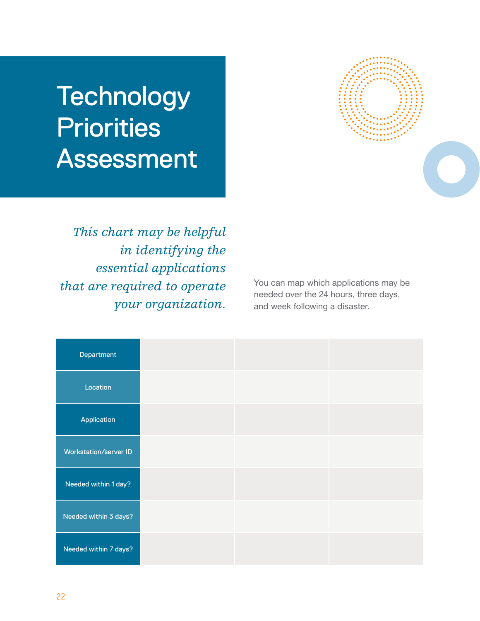# **Technology Priorities** Assessment

*This chart may be helpful in identifying the essential applications that are required to operate your organization.* 



You can map which applications may be needed over the 24 hours, three days, and week following a disaster.

| Department            |  |  |
|-----------------------|--|--|
| Location              |  |  |
| Application           |  |  |
| Workstation/server ID |  |  |
| Needed within 1 day?  |  |  |
| Needed within 3 days? |  |  |
| Needed within 7 days? |  |  |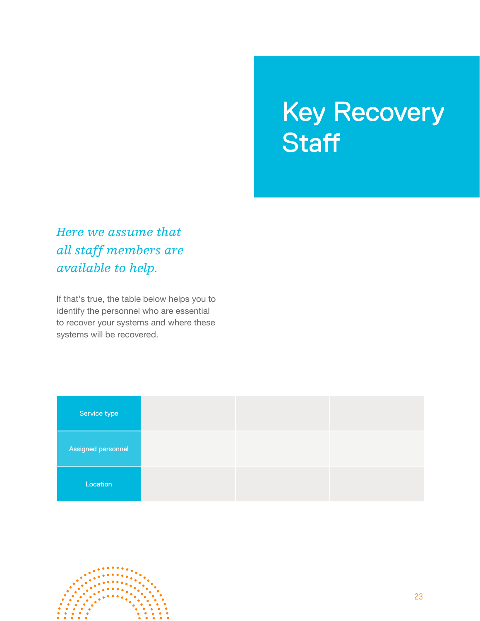### Key Recovery **Staff**

*Here we assume that all staff members are available to help.* 

If that's true, the table below helps you to identify the personnel who are essential to recover your systems and where these systems will be recovered.

| Service type       |  |  |
|--------------------|--|--|
| Assigned personnel |  |  |
| Location           |  |  |

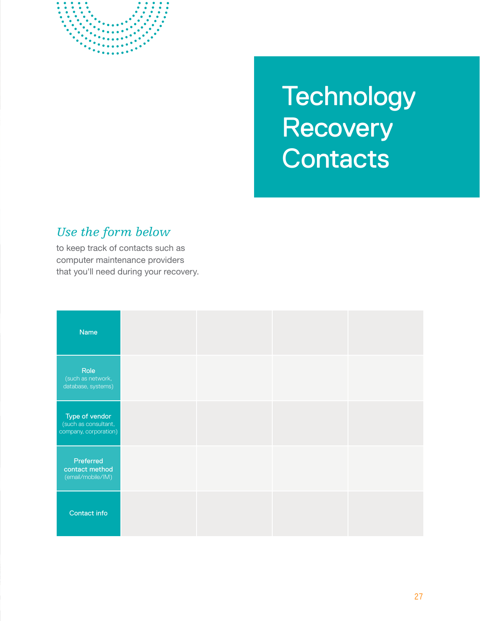

## **Technology Recovery Contacts**

#### *Use the form below*

to keep track of contacts such as computer maintenance providers that you'll need during your recovery.

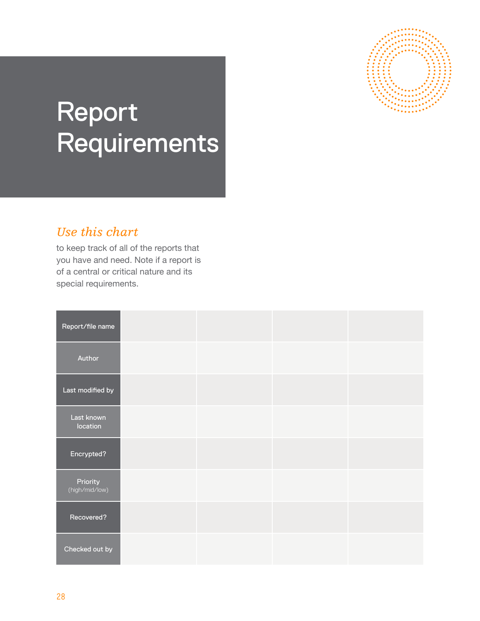

# Report Requirements

#### *Use this chart*

to keep track of all of the reports that you have and need. Note if a report is of a central or critical nature and its special requirements.

| Report/file name           |  |  |
|----------------------------|--|--|
| Author                     |  |  |
| Last modified by           |  |  |
| Last known<br>location     |  |  |
| Encrypted?                 |  |  |
| Priority<br>(high/mid/low) |  |  |
| Recovered?                 |  |  |
| Checked out by             |  |  |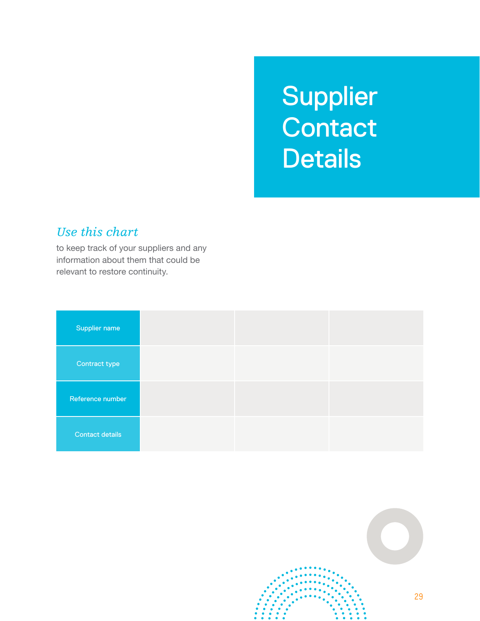## Supplier **Contact Details**

#### *Use this chart*

to keep track of your suppliers and any information about them that could be relevant to restore continuity.

| Supplier name          |  |  |
|------------------------|--|--|
| Contract type          |  |  |
| Reference number       |  |  |
| <b>Contact details</b> |  |  |